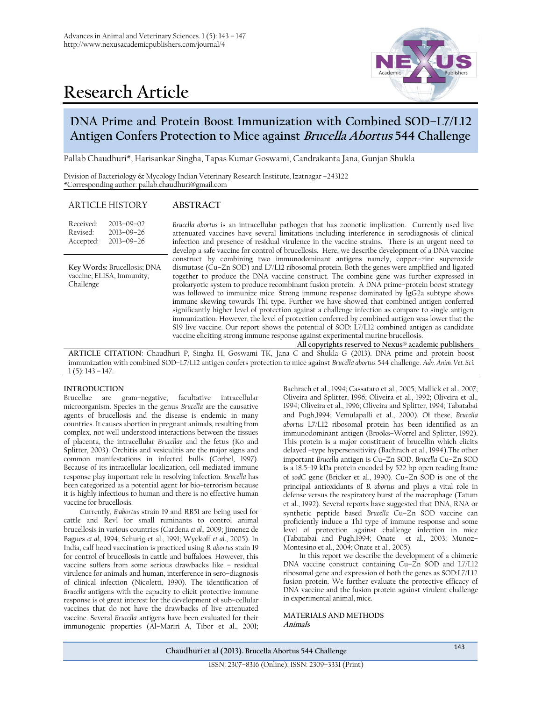

# **Research Article**

# **DNA Prime and Protein Boost Immunization with Combined SOD–L7/L12 Antigen Confers Protection to Mice against Brucella Abortus 544 Challenge**

Pallab Chaudhuri\*, Harisankar Singha, Tapas Kumar Goswami, Candrakanta Jana, Gunjan Shukla

Division of Bacteriology & Mycology Indian Veterinary Research Institute, Izatnagar –243122 \*Corresponding author: pallab.chaudhuri@gmail.com

Received: Revised: Accepted: 2013–09–02 2013–09–26 2013–09–26

**Key Words:** Brucellosis; DNA vaccine; ELISA, Immunity; Challenge

*Brucella abortus* is an intracellular pathogen that has zoonotic implication. Currently used live attenuated vaccines have several limitations including interference in serodiagnosis of clinical infection and presence of residual virulence in the vaccine strains. There is an urgent need to develop a safe vaccine for control of brucellosis. Here, we describe development of a DNA vaccine construct by combining two immunodominant antigens namely, copper–zinc superoxide dismutase (Cu-Zn SOD) and L7/L12 ribosomal protein. Both the genes were amplified and ligated together to produce the DNA vaccine construct. The combine gene was further expressed in prokaryotic system to produce recombinant fusion protein. A DNA prime–protein boost strategy was followed to immunize mice. Strong immune response dominated by IgG2a subtype shows immune skewing towards Th1 type. Further we have showed that combined antigen conferred significantly higher level of protection against a challenge infection as compare to single antigen immunization. However, the level of protection conferred by combined antigen was lower that the S19 live vaccine. Our report shows the potential of SOD: L7/L12 combined antigen as candidate vaccine eliciting strong immune response against experimental murine brucellosis.

**All copyrights reserved to Nexus® academic publishers ARTICLE CITATION**: Chaudhuri P, Singha H, Goswami TK, Jana C and Shukla G (2013). DNA prime and protein boost immunization with combined SOD–L7/L12 antigen confers protection to mice against *Brucella abortus* 544 challenge. *Adv. Anim. Vet. Sci.*  $1(5)$ : 143 – 147.

#### **INTRODUCTION**

Brucellae are gram–negative, facultative intracellular microorganism. Species in the genus *Brucella* are the causative agents of brucellosis and the disease is endemic in many countries. It causes abortion in pregnant animals, resulting from complex, not well understood interactions between the tissues of placenta, the intracellular *Brucellae* and the fetus (Ko and Splitter, 2003). Orchitis and vesiculitis are the major signs and common manifestations in infected bulls (Corbel, 1997). Because of its intracellular localization, cell mediated immune response play important role in resolving infection. *Brucella* has been categorized as a potential agent for bio–terrorism because it is highly infectious to human and there is no effective human vaccine for brucellosis.

Currently, *B.abortus* strain 19 and RB51 are being used for cattle and Rev1 for small ruminants to control animal brucellosis in various countries (Cardena *et al.*, 2009; Jimenez de Bagues *et al.,* 1994; Schurig et al., 1991; Wyckoff *et al*., 2005). In India, calf hood vaccination is practiced using *B. abortus* stain 19 for control of brucellosis in cattle and buffaloes. However, this vaccine suffers from some serious drawbacks like – residual virulence for animals and human, interference in sero–diagnosis of clinical infection (Nicoletti, 1990). The identification of *Brucella* antigens with the capacity to elicit protective immune response is of great interest for the development of sub–cellular vaccines that do not have the drawbacks of live attenuated vaccine. Several *Brucella* antigens have been evaluated for their immunogenic properties (Al–Mariri A, Tibor et al., 2001;

Bachrach et al., 1994; Cassataro et al., 2005; Mallick et al., 2007; Oliveira and Splitter, 1996; Oliveira et al., 1992; Oliveira et al., 1994; Oliveira et al., 1996; Oliveira and Splitter, 1994; Tabatabai and Pugh,1994; Vemulapalli et al., 2000). Of these, *Brucella abortus* L7/L12 ribosomal protein has been identified as an immunodominant antigen (Brooks–Worrel and Splitter, 1992). This protein is a major constituent of brucellin which elicits delayed –type hypersensitivity (Bachrach et al., 1994).The other important *Brucella* antigen is Cu–Zn SOD. *Brucella* Cu–Zn SOD is a 18.5–19 kDa protein encoded by 522 bp open reading frame of *sod*C gene (Bricker et al., 1990). Cu–Zn SOD is one of the principal antioxidants of *B. abortus* and plays a vital role in defense versus the respiratory burst of the macrophage (Tatum et al., 1992). Several reports have suggested that DNA, RNA or synthetic peptide based *Brucella* Cu–Zn SOD vaccine can proficiently induce a Th1 type of immune response and some level of protection against challenge infection in mice (Tabatabai and Pugh,1994; Onate et al., 2003; Munoz– Montesino et al., 2004; Onate et al., 2005).

In this report we describe the development of a chimeric DNA vaccine construct containing  $Cu-\overline{Z}n$  SOD and L7/L12 ribosomal gene and expression of both the genes as SOD:L7/L12 fusion protein. We further evaluate the protective efficacy of DNA vaccine and the fusion protein against virulent challenge in experimental animal, mice.

**MATERIALS AND METHODS Animals**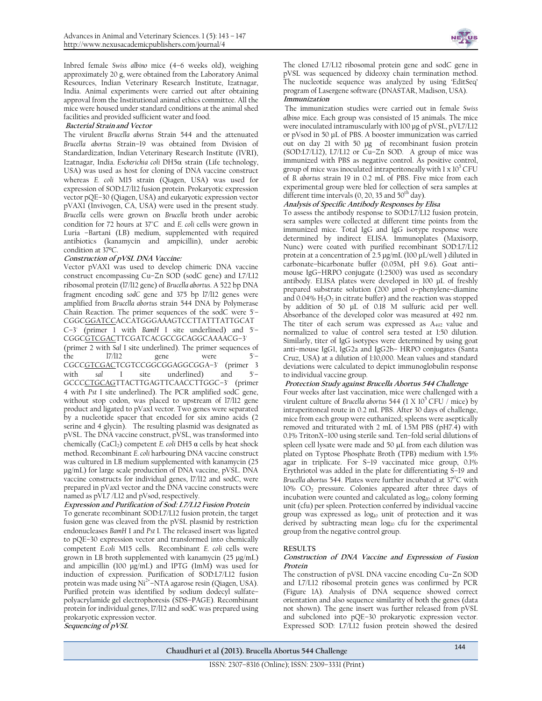Inbred female *Swiss albino* mice (4–6 weeks old), weighing approximately 20 g, were obtained from the Laboratory Animal Resources, Indian Veterinary Research Institute, Izatnagar, India. Animal experiments were carried out after obtaining approval from the Institutional animal ethics committee. All the mice were housed under standard conditions at the animal shed facilities and provided sufficient water and food.

#### **Bacterial Strain and Vector**

The virulent *Brucella abortus* Strain 544 and the attenuated *Brucella abortus* Strain–19 was obtained from Division of Standardization, Indian Veterinary Research Institute (IVRI), Izatnagar, India. *Escherichia coli* DH5α strain (Life technology, USA) was used as host for cloning of DNA vaccine construct whereas *E. coli* M15 strain (Qiagen, USA) was used for expression of SOD:L7/l12 fusion protein. Prokaryotic expression vector pQE–30 (Qiagen, USA) and eukaryotic expression vector pVAX1 (Invivogen, CA, USA) were used in the present study. *Brucella* cells were grown on *Brucella* broth under aerobic condition for 72 hours at 37°C and *E. coli* cells were grown in Luria –Bartani (LB) medium, supplemented with required antibiotics (kanamycin and ampicillin), under aerobic condition at 37ºC.

#### **Construction of pVSL DNA Vaccine:**

Vector pVAX1 was used to develop chimeric DNA vaccine construct encompassing Cu–Zn SOD (sodC gene) and L7/L12 ribosomal protein (l7/l12 gene) of *Brucella abortus*. A 522 bp DNA fragment encoding *sodC* gene and 375 bp l7/l12 genes were amplified from *Brucella abortus* strain 544 DNA by Polymerase Chain Reaction. The primer sequences of the sodC were 5'– CGGCGGATCCACCATGGGAAAGTCCTTATTTATTGCAT C–3' (primer 1 with *BamH* I site underlined) and 5'– CGGCGTCGACTTCGATCACGCCGCAGGCAAAACG–3' (primer 2 with *Sal* I site underlined). The primer sequences of the l7/l12 gene were 5'– CGCCGTCGACTCGTCCGGCGGAGGCGGA–3' (primer 3 with *sal* I site underlined) and GCCCCTGCAGTTACTTGAGTTCAACCTTGGC–3' (primer 4 with *Pst* I site underlined). The PCR amplified sodC gene, without stop codon, was placed to upstream of l7/l12 gene product and ligated to pVax1 vector. Two genes were separated by a nucleotide spacer that encoded for six amino acids (2 serine and 4 glycin). The resulting plasmid was designated as pVSL. The DNA vaccine construct, pVSL, was transformed into chemically (CaCl<sub>2</sub>) competent *E. coli* DH5 α cells by heat shock method. Recombinant *E. coli* harbouring DNA vaccine construct was cultured in LB medium supplemented with kanamycin (25 μg/mL) for large scale production of DNA vaccine, pVSL. DNA vaccine constructs for individual genes, l7/l12 and sodC, were prepared in pVax1 vector and the DNA vaccine constructs were named as pVL7 /L12 and pVsod, respectively.

## **Expression and Purification of Sod: L7/L12 Fusion Protein**

To generate recombinant SOD:L7/L12 fusion protein, the target fusion gene was cleaved from the pVSL plasmid by restriction endonucleases *BamH* I and *Pst* I. The released insert was ligated to pQE–30 expression vector and transformed into chemically competent *E.coli* M15 cells. Recombinant *E. coli* cells were grown in LB broth supplemented with kanamycin (25 μg/mL) and ampicillin (100 μg/mL) and IPTG (1mM) was used for induction of expression. Purification of SOD:L7/L12 fusion protein was made using Ni<sup>2+</sup>-NTA agarose resin (Qiagen, USA). Purified protein was identified by sodium dodecyl sulfate– polyacrylamide gel electrophoresis (SDS–PAGE). Recombinant protein for individual genes, l7/l12 and sodC was prepared using prokaryotic expression vector. **Sequencing of pVSL** 



The cloned L7/L12 ribosomal protein gene and sodC gene in pVSL was sequenced by dideoxy chain termination method. The nucleotide sequence was analyzed by using 'EditSeq' program of Lasergene software (DNASTAR, Madison, USA).

## **Immunization**

The immunization studies were carried out in female *Swiss albino* mice. Each group was consisted of 15 animals. The mice were inoculated intramuscularly with 100 µg of pVSL, pVL7/L12 or pVsod in 50 µL of PBS. A booster immunization was carried out on day 21 with 50 µg of recombinant fusion protein (SOD:L7/L12), L7/L12 or Cu–Zn SOD. A group of mice was immunized with PBS as negative control. As positive control, group of mice was inoculated intraperitoneally with 1 x  $10^5$  CFU of *B. abortus* strain 19 in 0.2 mL of PBS. Five mice from each experimental group were bled for collection of sera samples at different time intervals  $(0, 20, 35, 40, 50$ <sup>th</sup> day).

# **Analysis of Specific Antibody Responses by Elisa**

To assess the antibody response to SOD:L7/L12 fusion protein, sera samples were collected at different time points from the immunized mice. Total IgG and IgG isotype response were determined by indirect ELISA. Immunoplates (Maxisorp, Nunc) were coated with purified recombinant SOD:L7/L12 protein at a concentration of 2.5 µg/mL (100 µL/well ) diluted in carbonate–bicarbonate buffer (0.05M, pH 9.6). Goat anti– mouse IgG–HRPO conjugate (1:2500) was used as secondary antibody. ELISA plates were developed in 100 µL of freshly prepared substrate solution (200 µmol o–phenylene–diamine and  $0.04\%$  H<sub>2</sub>O<sub>2</sub> in citrate buffer) and the reaction was stopped by addition of 50 µL of 0.18 M sulfuric acid per well. Absorbance of the developed color was measured at 492 nm. The titer of each serum was expressed as A<sub>492</sub> value and normalized to value of control sera tested at 1:50 dilution. Similarly, titer of IgG isotypes were determined by using goat anti–mouse IgG1, IgG2a and IgG2b– HRPO conjugates (Santa Cruz, USA) at a dilution of 1:10,000. Mean values and standard deviations were calculated to depict immunoglobulin response to individual vaccine group.

#### **Protection Study against Brucella Abortus 544 Challenge**

Four weeks after last vaccination, mice were challenged with a virulent culture of *Brucella abortus* 544 (1 X 10<sup>5</sup> CFU / mice) by intraperitoneal route in 0.2 mL PBS. After 30 days of challenge, mice from each group were euthanized; spleens were aseptically removed and triturated with 2 mL of 1.5M PBS (pH7.4) with 0.1% TritonX–100 using sterile sand. Ten–fold serial dilutions of spleen cell lysate were made and 50 µL from each dilution was plated on Typtose Phosphate Broth (TPB) medium with 1.5% agar in triplicate. For S–19 vaccinated mice group, 0.1% Erythriotol was added in the plate for differentiating S–19 and *Brucella abortus* 544. Plates were further incubated at 37<sup>°</sup>C with 10% CO<sup>2</sup> pressure. Colonies appeared after three days of incubation were counted and calculated as  $log<sub>10</sub>$  colony forming unit (cfu) per spleen. Protection conferred by individual vaccine group was expressed as log10 unit of protection and it was derived by subtracting mean  $log_{10}$  cfu for the experimental group from the negative control group.

#### **RESULTS**

#### **Construction of DNA Vaccine and Expression of Fusion Protein**

The construction of pVSL DNA vaccine encoding Cu–Zn SOD and L7/L12 ribosomal protein genes was confirmed by PCR (Figure 1A). Analysis of DNA sequence showed correct orientation and also sequence similarity of both the genes (data not shown). The gene insert was further released from pVSL and subcloned into pQE–30 prokaryotic expression vector. Expressed SOD: L7/L12 fusion protein showed the desired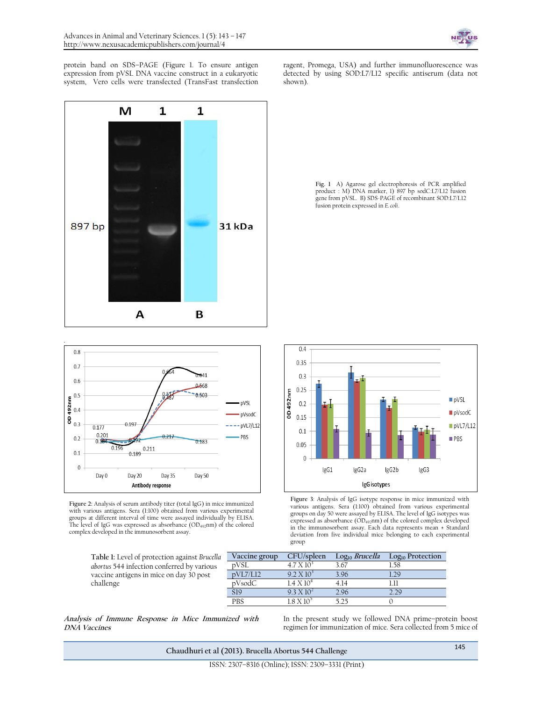

protein band on SDS–PAGE (Figure 1. To ensure antigen expression from pVSL DNA vaccine construct in a eukaryotic system, Vero cells were transfected (TransFast transfection



ragent, Promega, USA) and further immunofluorescence was detected by using SOD:L7/L12 specific antiserum (data not shown).





**Figure 2:** Analysis of serum antibody titer (total IgG) in mice immunized with various antigens. Sera (1:100) obtained from various experimental groups at different interval of time were assayed individually by ELISA. The level of IgG was expressed as absorbance (OD492nm) of the colored complex developed in the immunosorbent assay.

> **Table 1:** Level of protection against *Brucella abortus* 544 infection conferred by various vaccine antigens in mice on day 30 post challenge

 $04$ 0.35  $0.3$ 0.25 0D492nm pVSL  $0.2$ pVsodC  $0.15$  $pVL7/L12$  $0.1$ **PBS**  $0.05$  $\boldsymbol{0}$ lgG1 IgG2a IgG2b lgG3 IgG isotypes

**Figure 3**: Analysis of IgG isotype response in mice immunized with various antigens. Sera (1:100) obtained from various experimental groups on day 50 were assayed by ELISA. The level of IgG isotypes was expressed as absorbance (OD492nm) of the colored complex developed in the immunosorbent assay. Each data represents mean ± Standard deviation from five individual mice belonging to each experimental group

| Vaccine group   | CFU/spleen           | Log <sub>10</sub> Brucella | Log <sub>10</sub> Protection |
|-----------------|----------------------|----------------------------|------------------------------|
| nVSL            | 4.7 X 10             | 3.67                       | 1 58                         |
| pVL7/L12        | $9.2 \times 10^{-7}$ | 396                        |                              |
| pVsodC          | $1.4 \times 10^4$    | 4 14                       |                              |
| S <sub>19</sub> | $9.3 \times 10^{2}$  | 296                        | 7 7 Q                        |
| <b>PRS</b>      | 1 8 Y 10             | 5 25                       |                              |

**Analysis of Immune Response in Mice Immunized with DNA Vaccines** 

In the present study we followed DNA prime–protein boost regimen for immunization of mice. Sera collected from 5 mice of

**Chaudhuri et al (2013). Brucella Abortus 544 Challenge** <sup>145</sup>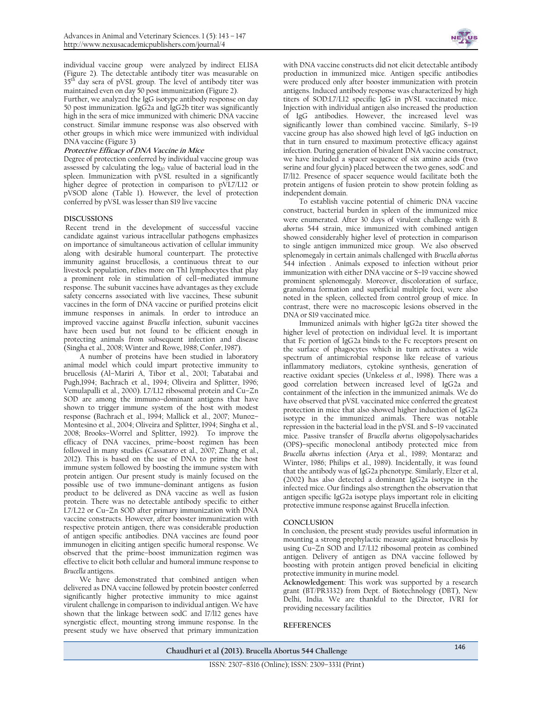individual vaccine group were analyzed by indirect ELISA (Figure 2). The detectable antibody titer was measurable on 35<sup>th</sup> day sera of pVSL group. The level of antibody titer was maintained even on day 50 post immunization (Figure 2).

Further, we analyzed the IgG isotype antibody response on day 50 post immunization. IgG2a and IgG2b titer was significantly high in the sera of mice immunized with chimeric DNA vaccine construct. Similar immune response was also observed with other groups in which mice were immunized with individual DNA vaccine (Figure 3)

#### **Protective Efficacy of DNA Vaccine in Mice**

Degree of protection conferred by individual vaccine group was assessed by calculating the  $log<sub>10</sub>$  value of bacterial load in the spleen. Immunization with pVSL resulted in a significantly higher degree of protection in comparison to pVL7/L12 or pVSOD alone (Table 1). However, the level of protection conferred by pVSL was lesser than S19 live vaccine

#### **DISCUSSIONS**

Recent trend in the development of successful vaccine candidate against various intracellular pathogens emphasizes on importance of simultaneous activation of cellular immunity along with desirable humoral counterpart. The protective immunity against brucellosis, a continuous threat to our livestock population, relies more on Th1 lymphocytes that play a prominent role in stimulation of cell–mediated immune response. The subunit vaccines have advantages as they exclude safety concerns associated with live vaccines, These subunit vaccines in the form of DNA vaccine or purified proteins elicit immune responses in animals. In order to introduce an improved vaccine against *Brucella* infection, subunit vaccines have been used but not found to be efficient enough in protecting animals from subsequent infection and disease (Singha et al., 2008; Winter and Rowe, 1988; Confer, 1987).

A number of proteins have been studied in laboratory animal model which could impart protective immunity to brucellosis (Al–Mariri A, Tibor et al., 2001; Tabatabai and Pugh,1994; Bachrach et al., 1994; Oliveira and Splitter, 1996; Vemulapalli et al., 2000). L7/L12 ribosomal protein and Cu–Zn SOD are among the immuno–dominant antigens that have shown to trigger immune system of the host with modest response (Bachrach et al., 1994; Mallick et al., 2007; Munoz– Montesino et al., 2004; Oliveira and Splitter, 1994; Singha et al., 2008; Brooks–Worrel and Splitter, 1992). To improve the efficacy of DNA vaccines, prime–boost regimen has been followed in many studies (Cassataro et al., 2007; Zhang et al., 2012). This is based on the use of DNA to prime the host immune system followed by boosting the immune system with protein antigen. Our present study is mainly focused on the possible use of two immune–dominant antigens as fusion product to be delivered as DNA vaccine as well as fusion protein. There was no detectable antibody specific to either L7/L22 or Cu–Zn SOD after primary immunization with DNA vaccine constructs. However, after booster immunization with respective protein antigen, there was considerable production of antigen specific antibodies. DNA vaccines are found poor immunogen in eliciting antigen specific humoral response. We observed that the prime–boost immunization regimen was effective to elicit both cellular and humoral immune response to *Brucella* antigens.

We have demonstrated that combined antigen when delivered as DNA vaccine followed by protein booster conferred significantly higher protective immunity to mice against virulent challenge in comparison to individual antigen. We have shown that the linkage between sodC and l7/l12 genes have synergistic effect, mounting strong immune response. In the present study we have observed that primary immunization



with DNA vaccine constructs did not elicit detectable antibody production in immunized mice. Antigen specific antibodies were produced only after booster immunization with protein antigens. Induced antibody response was characterized by high titers of SOD:L7/L12 specific IgG in pVSL vaccinated mice. Injection with individual antigen also increased the production of IgG antibodies. However, the increased level was significantly lower than combined vaccine. Similarly, S–19 vaccine group has also showed high level of IgG induction on that in turn ensured to maximum protective efficacy against infection. During generation of bivalent DNA vaccine construct, we have included a spacer sequence of six amino acids (two serine and four glycin) placed between the two genes, sodC and l7/l12. Presence of spacer sequence would facilitate both the protein antigens of fusion protein to show protein folding as independent domain.

To establish vaccine potential of chimeric DNA vaccine construct, bacterial burden in spleen of the immunized mice were enumerated. After 30 days of virulent challenge with *B. abortus* 544 strain, mice immunized with combined antigen showed considerably higher level of protection in comparison to single antigen immunized mice group. We also observed splenomegaly in certain animals challenged with *Brucella abortus* 544 infection . Animals exposed to infection without prior immunization with either DNA vaccine or S–19 vaccine showed prominent splenomegaly. Moreover, discoloration of surface, granuloma formation and superficial multiple foci, were also noted in the spleen, collected from control group of mice. In contrast, there were no macroscopic lesions observed in the DNA or S19 vaccinated mice.

Immunized animals with higher IgG2a titer showed the higher level of protection on individual level. It is important that Fc portion of IgG2a binds to the Fc receptors present on the surface of phagocytes which in turn activates a wide spectrum of antimicrobial response like release of various inflammatory mediators, cytokine synthesis, generation of reactive oxidant species (Unkeless *et al*., 1998). There was a good correlation between increased level of IgG2a and containment of the infection in the immunized animals. We do have observed that pVSL vaccinated mice conferred the greatest protection in mice that also showed higher induction of IgG2a isotype in the immunized animals. There was notable repression in the bacterial load in the pVSL and S–19 vaccinated mice. Passive transfer of *Brucella abortus* oligopolysacharides (OPS)–specific monoclonal antibody protected mice from *Brucella abortus* infection (Arya et al., 1989; Montaraz and Winter, 1986; Philips et al., 1989). Incidentally, it was found that the antibody was of IgG2a phenotype. Similarly, Elzer et al, (2002) has also detected a dominant IgG2a isotype in the infected mice. Our findings also strengthen the observation that antigen specific IgG2a isotype plays important role in eliciting protective immune response against Brucella infection.

#### **CONCLUSION**

In conclusion, the present study provides useful information in mounting a strong prophylactic measure against brucellosis by using Cu–Zn SOD and L7/L12 ribosomal protein as combined antigen. Delivery of antigen as DNA vaccine followed by boosting with protein antigen proved beneficial in eliciting protective immunity in murine model.

**Acknowledgement**: This work was supported by a research grant (BT/PR3332) from Dept. of Biotechnology (DBT), New Delhi, India. We are thankful to the Director, IVRI for providing necessary facilities

#### **REFERENCES**

**Chaudhuri et al (2013). Brucella Abortus 544 Challenge** <sup>146</sup>